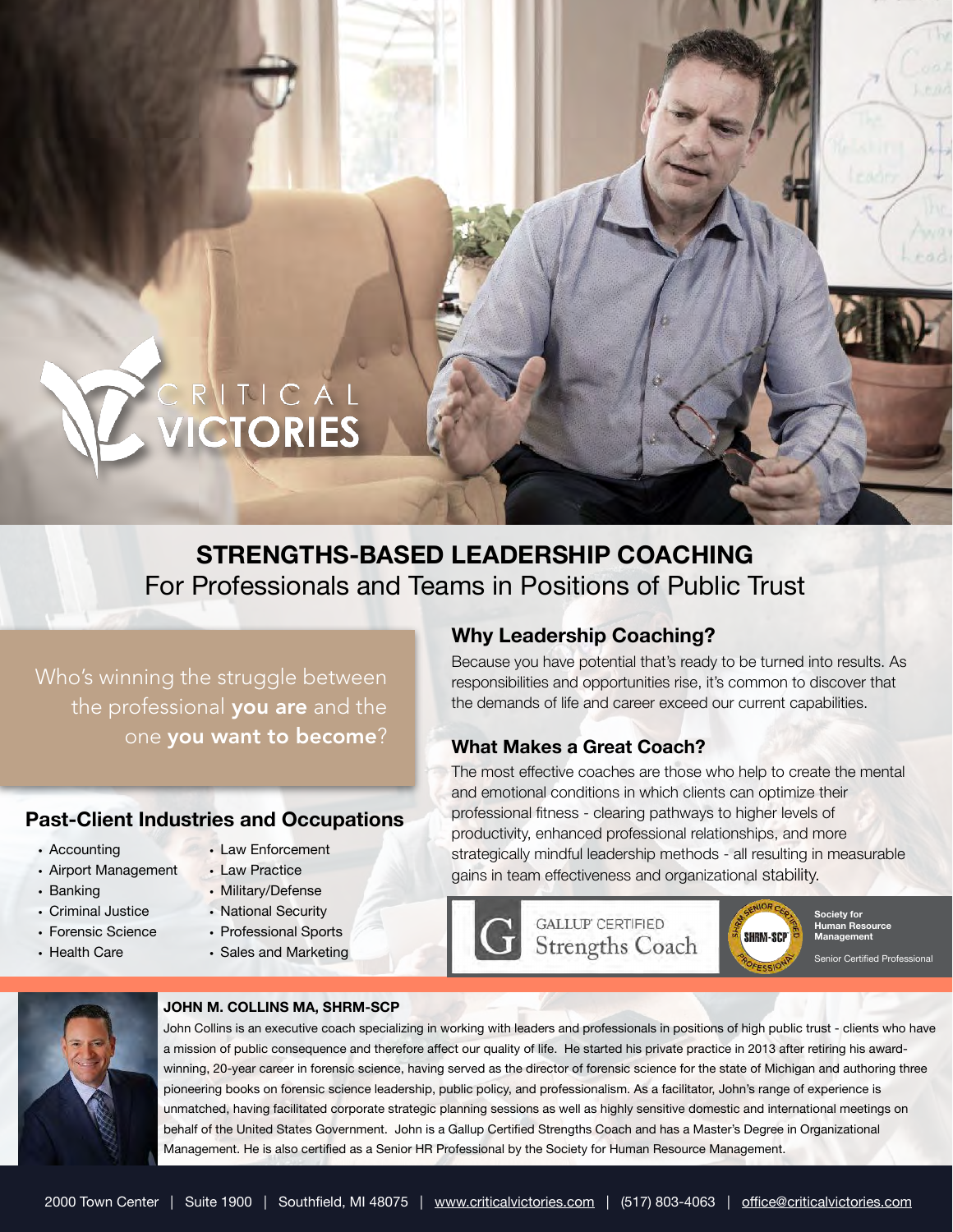# ECRITICAL<br>DICTORIES

# **STRENGTHS-BASED LEADERSHIP COACHING** For Professionals and Teams in Positions of Public Trust

Who's winning the struggle between the professional you are and the one you want to become?

### **Past-Client Industries and Occupations**

• Accounting

• Banking

• Airport Management

• Criminal Justice • Forensic Science • Health Care

- Law Practice
- Military/Defense
	- National Security

• Law Enforcement

- Professional Sports
- 
- Sales and Marketing

# **Why Leadership Coaching?**

Because you have potential that's ready to be turned into results. As responsibilities and opportunities rise, it's common to discover that the demands of life and career exceed our current capabilities.

### **What Makes a Great Coach?**

The most effective coaches are those who help to create the mental and emotional conditions in which clients can optimize their professional fitness - clearing pathways to higher levels of productivity, enhanced professional relationships, and more strategically mindful leadership methods - all resulting in measurable gains in team effectiveness and organizational stability.



**Society for Human Resource Management**  Senior Certified Professional



### **JOHN M. COLLINS MA, SHRM-SCP**

John Collins is an executive coach specializing in working with leaders and professionals in positions of high public trust - clients who have a mission of public consequence and therefore affect our quality of life. He started his private practice in 2013 after retiring his awardwinning, 20-year career in forensic science, having served as the director of forensic science for the state of Michigan and authoring three pioneering books on forensic science leadership, public policy, and professionalism. As a facilitator, John's range of experience is unmatched, having facilitated corporate strategic planning sessions as well as highly sensitive domestic and international meetings on behalf of the United States Government. John is a Gallup Certified Strengths Coach and has a Master's Degree in Organizational Management. He is also certified as a Senior HR Professional by the Society for Human Resource Management.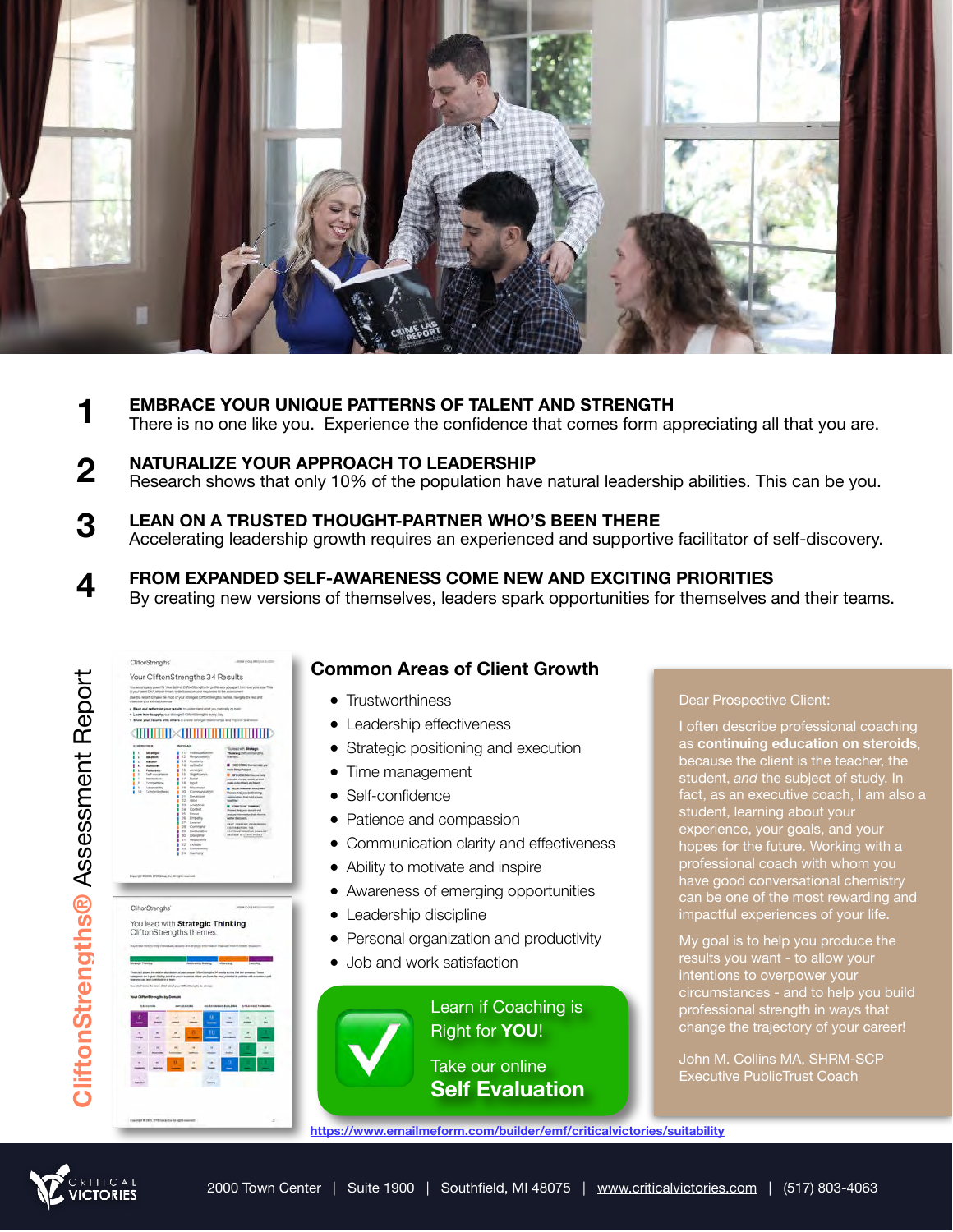

- **EMBRACE YOUR UNIQUE PATTERNS OF TALENT AND STRENGTH**  There is no one like you. Experience the confidence that comes form appreciating all that you are. **1**
- **NATURALIZE YOUR APPROACH TO LEADERSHIP** Research shows that only 10% of the population have natural leadership abilities. This can be you. **2**
- **LEAN ON A TRUSTED THOUGHT-PARTNER WHO'S BEEN THERE**  Accelerating leadership growth requires an experienced and supportive facilitator of self-discovery. **3**
- **FROM EXPANDED SELF-AWARENESS COME NEW AND EXCITING PRIORITIES**  By creating new versions of themselves, leaders spark opportunities for themselves and their teams. **4**



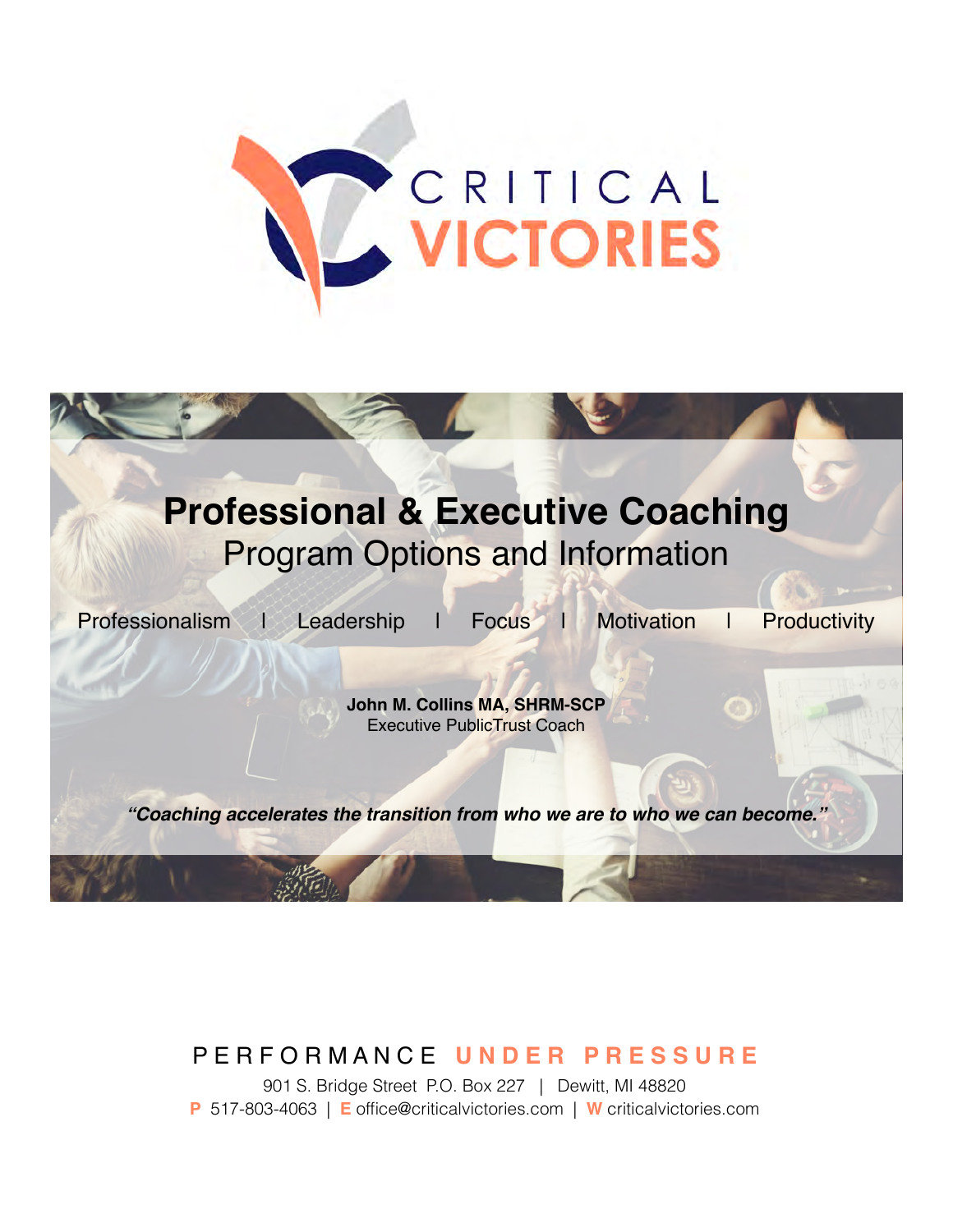



# P E R F O R M A N C E **U N D E R P R E S S U R E**

901 S. Bridge Street P.O. Box 227 | Dewitt, MI 48820 **P** 517-803-4063 | **E** office@criticalvictories.com | **W** criticalvictories.com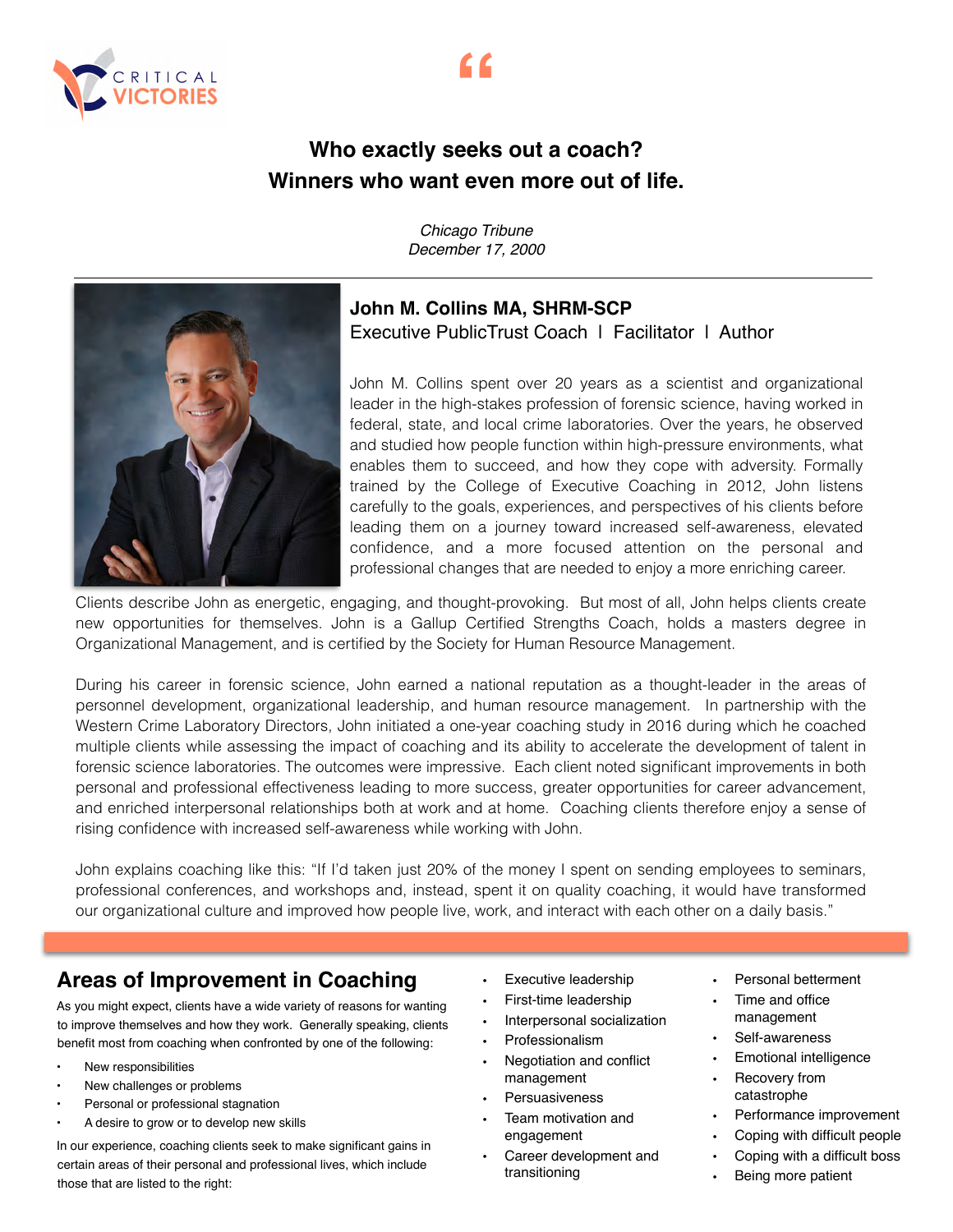



**"**

# **Winners who want even more out of life.**

*Chicago Tribune December 17, 2000*



## **John M. Collins MA, SHRM-SCP**  Executive PublicTrust Coach | Facilitator | Author

John M. Collins spent over 20 years as a scientist and organizational leader in the high-stakes profession of forensic science, having worked in federal, state, and local crime laboratories. Over the years, he observed and studied how people function within high-pressure environments, what enables them to succeed, and how they cope with adversity. Formally trained by the College of Executive Coaching in 2012, John listens carefully to the goals, experiences, and perspectives of his clients before leading them on a journey toward increased self-awareness, elevated confidence, and a more focused attention on the personal and professional changes that are needed to enjoy a more enriching career.

Clients describe John as energetic, engaging, and thought-provoking. But most of all, John helps clients create new opportunities for themselves. John is a Gallup Certified Strengths Coach, holds a masters degree in Organizational Management, and is certified by the Society for Human Resource Management.

During his career in forensic science, John earned a national reputation as a thought-leader in the areas of personnel development, organizational leadership, and human resource management. In partnership with the Western Crime Laboratory Directors, John initiated a one-year coaching study in 2016 during which he coached multiple clients while assessing the impact of coaching and its ability to accelerate the development of talent in forensic science laboratories. The outcomes were impressive. Each client noted significant improvements in both personal and professional effectiveness leading to more success, greater opportunities for career advancement, and enriched interpersonal relationships both at work and at home. Coaching clients therefore enjoy a sense of rising confidence with increased self-awareness while working with John.

John explains coaching like this: "If I'd taken just 20% of the money I spent on sending employees to seminars, professional conferences, and workshops and, instead, spent it on quality coaching, it would have transformed our organizational culture and improved how people live, work, and interact with each other on a daily basis."

# **Areas of Improvement in Coaching**

As you might expect, clients have a wide variety of reasons for wanting to improve themselves and how they work. Generally speaking, clients benefit most from coaching when confronted by one of the following:

- New responsibilities
- New challenges or problems
- Personal or professional stagnation
- A desire to grow or to develop new skills

In our experience, coaching clients seek to make significant gains in certain areas of their personal and professional lives, which include those that are listed to the right:

- Executive leadership
- First-time leadership
- Interpersonal socialization
- Professionalism
- Negotiation and conflict management
- **Persuasiveness**
- Team motivation and engagement
- Career development and transitioning
- Personal betterment
- Time and office management
- Self-awareness
- Emotional intelligence
- Recovery from catastrophe
- Performance improvement
- Coping with difficult people
	- Coping with a difficult boss
	- Being more patient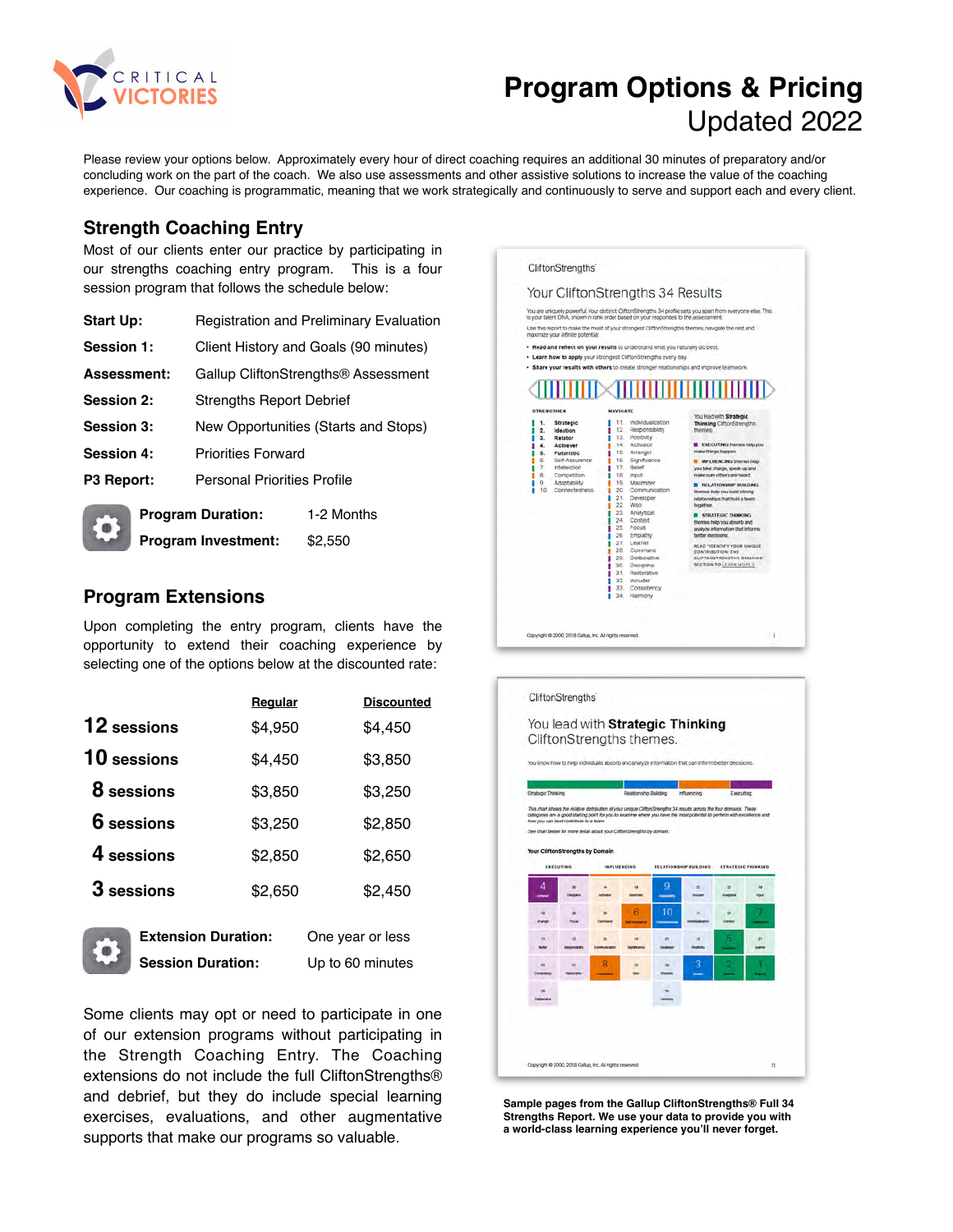

# **Program Options & Pricing**  Updated 2022

Please review your options below. Approximately every hour of direct coaching requires an additional 30 minutes of preparatory and/or concluding work on the part of the coach. We also use assessments and other assistive solutions to increase the value of the coaching experience. Our coaching is programmatic, meaning that we work strategically and continuously to serve and support each and every client.

### **Strength Coaching Entry**

Most of our clients enter our practice by participating in our strengths coaching entry program. This is a four session program that follows the schedule below:

| <b>Start Up:</b>  | <b>Registration and Preliminary Evaluation</b>  |  |
|-------------------|-------------------------------------------------|--|
| Session 1:        | Client History and Goals (90 minutes)           |  |
| Assessment:       | Gallup CliftonStrengths <sup>®</sup> Assessment |  |
| <b>Session 2:</b> | <b>Strengths Report Debrief</b>                 |  |
| <b>Session 3:</b> | New Opportunities (Starts and Stops)            |  |
| <b>Session 4:</b> | <b>Priorities Forward</b>                       |  |
| P3 Report:        | <b>Personal Priorities Profile</b>              |  |
|                   |                                                 |  |

| г.<br>о: | <b>Program Duration:</b>   | 1-2 Months |
|----------|----------------------------|------------|
|          | <b>Program Investment:</b> | \$2,550    |

### **Program Extensions**

Upon completing the entry program, clients have the opportunity to extend their coaching experience by selecting one of the options below at the discounted rate:

|                    | Regular | <b>Discounted</b> |
|--------------------|---------|-------------------|
| <b>12</b> sessions | \$4,950 | \$4,450           |
| 10 sessions        | \$4,450 | \$3,850           |
| 8 sessions         | \$3,850 | \$3,250           |
| <b>6</b> sessions  | \$3,250 | \$2,850           |
| 4 sessions         | \$2,850 | \$2,650           |
| 3 sessions         | \$2,650 | \$2,450           |
|                    |         |                   |



**Extension Duration:** One year or less **Session Duration:** Up to 60 minutes

Some clients may opt or need to participate in one of our extension programs without participating in the Strength Coaching Entry. The Coaching extensions do not include the full CliftonStrengths® and debrief, but they do include special learning exercises, evaluations, and other augmentative supports that make our programs so valuable.





**Sample pages from the Gallup CliftonStrengths® Full 34 Strengths Report. We use your data to provide you with a world-class learning experience you'll never forget.**